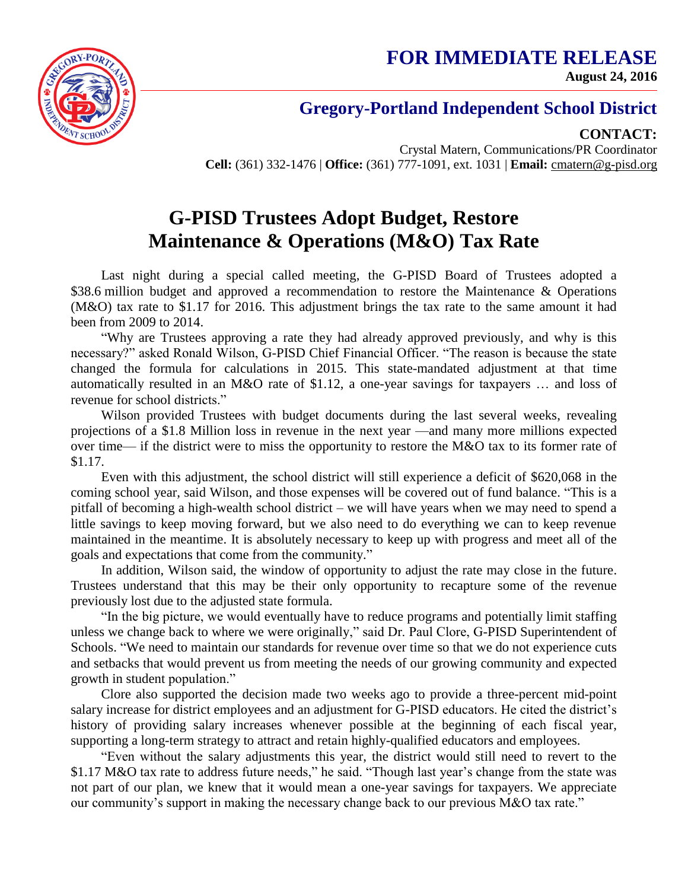**FOR IMMEDIATE RELEASE August 24, 2016**



## **Gregory-Portland Independent School District**

**CONTACT:**

Crystal Matern, Communications/PR Coordinator **Cell:** (361) 332-1476 | **Office:** (361) 777-1091, ext. 1031 | **Email:** cmatern@g-pisd.org

## **G-PISD Trustees Adopt Budget, Restore Maintenance & Operations (M&O) Tax Rate**

Last night during a special called meeting, the G-PISD Board of Trustees adopted a \$38.6 million budget and approved a recommendation to restore the Maintenance & Operations (M&O) tax rate to \$1.17 for 2016. This adjustment brings the tax rate to the same amount it had been from 2009 to 2014.

"Why are Trustees approving a rate they had already approved previously, and why is this necessary?" asked Ronald Wilson, G-PISD Chief Financial Officer. "The reason is because the state changed the formula for calculations in 2015. This state-mandated adjustment at that time automatically resulted in an M&O rate of \$1.12, a one-year savings for taxpayers … and loss of revenue for school districts."

Wilson provided Trustees with budget documents during the last several weeks, revealing projections of a \$1.8 Million loss in revenue in the next year —and many more millions expected over time— if the district were to miss the opportunity to restore the M&O tax to its former rate of \$1.17.

Even with this adjustment, the school district will still experience a deficit of \$620,068 in the coming school year, said Wilson, and those expenses will be covered out of fund balance. "This is a pitfall of becoming a high-wealth school district – we will have years when we may need to spend a little savings to keep moving forward, but we also need to do everything we can to keep revenue maintained in the meantime. It is absolutely necessary to keep up with progress and meet all of the goals and expectations that come from the community."

In addition, Wilson said, the window of opportunity to adjust the rate may close in the future. Trustees understand that this may be their only opportunity to recapture some of the revenue previously lost due to the adjusted state formula.

"In the big picture, we would eventually have to reduce programs and potentially limit staffing unless we change back to where we were originally," said Dr. Paul Clore, G-PISD Superintendent of Schools. "We need to maintain our standards for revenue over time so that we do not experience cuts and setbacks that would prevent us from meeting the needs of our growing community and expected growth in student population."

Clore also supported the decision made two weeks ago to provide a three-percent mid-point salary increase for district employees and an adjustment for G-PISD educators. He cited the district's history of providing salary increases whenever possible at the beginning of each fiscal year, supporting a long-term strategy to attract and retain highly-qualified educators and employees.

"Even without the salary adjustments this year, the district would still need to revert to the \$1.17 M&O tax rate to address future needs," he said. "Though last year's change from the state was not part of our plan, we knew that it would mean a one-year savings for taxpayers. We appreciate our community's support in making the necessary change back to our previous M&O tax rate."